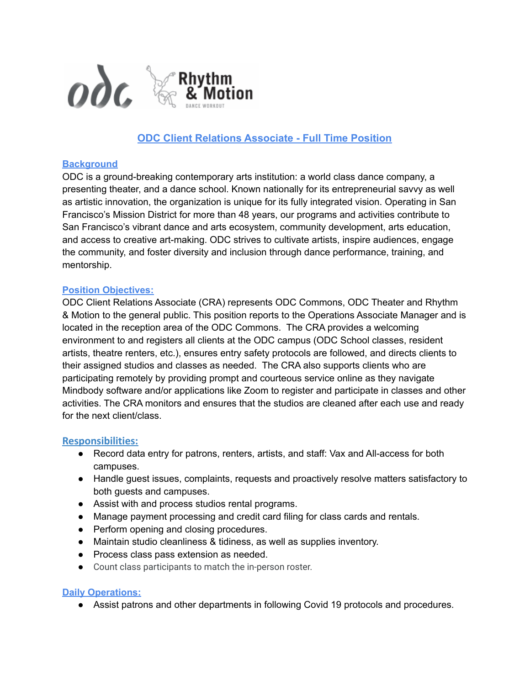

# **ODC Client Relations Associate - Full Time Position**

### **Background**

ODC is a ground-breaking contemporary arts institution: a world class dance company, a presenting theater, and a dance school. Known nationally for its entrepreneurial savvy as well as artistic innovation, the organization is unique for its fully integrated vision. Operating in San Francisco's Mission District for more than 48 years, our programs and activities contribute to San Francisco's vibrant dance and arts ecosystem, community development, arts education, and access to creative art-making. ODC strives to cultivate artists, inspire audiences, engage the community, and foster diversity and inclusion through dance performance, training, and mentorship.

#### **Position Objectives:**

ODC Client Relations Associate (CRA) represents ODC Commons, ODC Theater and Rhythm & Motion to the general public. This position reports to the Operations Associate Manager and is located in the reception area of the ODC Commons. The CRA provides a welcoming environment to and registers all clients at the ODC campus (ODC School classes, resident artists, theatre renters, etc.), ensures entry safety protocols are followed, and directs clients to their assigned studios and classes as needed. The CRA also supports clients who are participating remotely by providing prompt and courteous service online as they navigate Mindbody software and/or applications like Zoom to register and participate in classes and other activities. The CRA monitors and ensures that the studios are cleaned after each use and ready for the next client/class.

#### **Responsibilities:**

- Record data entry for patrons, renters, artists, and staff: Vax and All-access for both campuses.
- Handle guest issues, complaints, requests and proactively resolve matters satisfactory to both guests and campuses.
- Assist with and process studios rental programs.
- Manage payment processing and credit card filing for class cards and rentals.
- Perform opening and closing procedures.
- Maintain studio cleanliness & tidiness, as well as supplies inventory.
- Process class pass extension as needed.
- Count class participants to match the in-person roster.

## **Daily Operations:**

• Assist patrons and other departments in following Covid 19 protocols and procedures.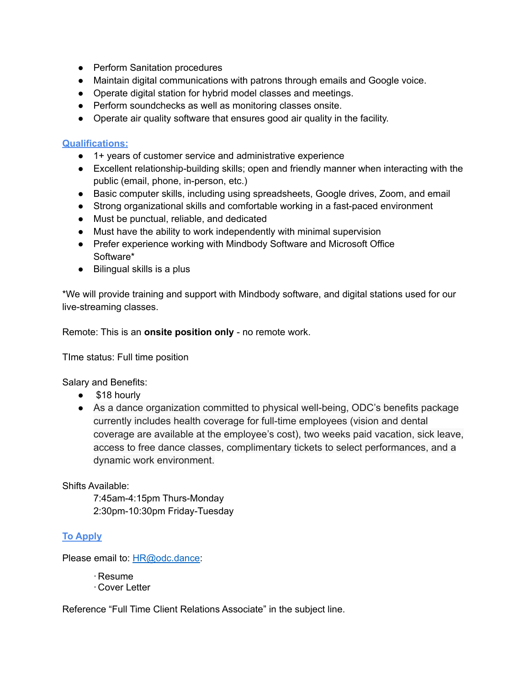- Perform Sanitation procedures
- Maintain digital communications with patrons through emails and Google voice.
- Operate digital station for hybrid model classes and meetings.
- Perform soundchecks as well as monitoring classes onsite.
- Operate air quality software that ensures good air quality in the facility.

### **Qualifications:**

- 1+ years of customer service and administrative experience
- Excellent relationship-building skills; open and friendly manner when interacting with the public (email, phone, in-person, etc.)
- Basic computer skills, including using spreadsheets, Google drives, Zoom, and email
- Strong organizational skills and comfortable working in a fast-paced environment
- Must be punctual, reliable, and dedicated
- Must have the ability to work independently with minimal supervision
- Prefer experience working with Mindbody Software and Microsoft Office Software\*
- $\bullet$  Bilingual skills is a plus

\*We will provide training and support with Mindbody software, and digital stations used for our live-streaming classes.

Remote: This is an **onsite position only** - no remote work.

TIme status: Full time position

Salary and Benefits:

- \$18 hourly
- As a dance organization committed to physical well-being, ODC's benefits package currently includes health coverage for full-time employees (vision and dental coverage are available at the employee's cost), two weeks paid vacation, sick leave, access to free dance classes, complimentary tickets to select performances, and a dynamic work environment.

Shifts Available:

7:45am-4:15pm Thurs-Monday 2:30pm-10:30pm Friday-Tuesday

## **To Apply**

Please email to: [HR@odc.dance](mailto:HR@odc.dance):

·Resume

·Cover Letter

Reference "Full Time Client Relations Associate" in the subject line.